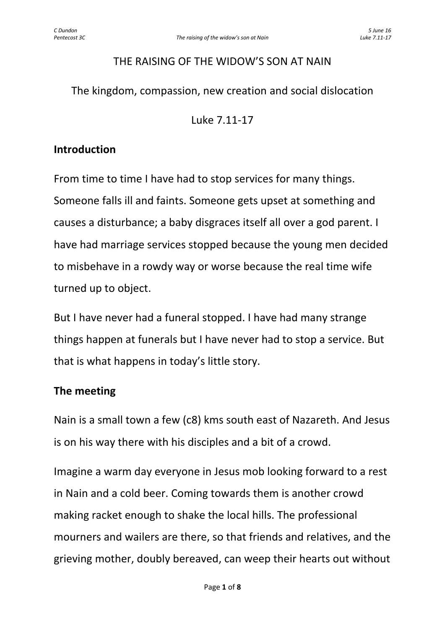#### THE RAISING OF THE WIDOW'S SON AT NAIN

The kingdom, compassion, new creation and social dislocation

Luke 7.11-17

# **Introduction**

From time to time I have had to stop services for many things. Someone falls ill and faints. Someone gets upset at something and causes a disturbance; a baby disgraces itself all over a god parent. I have had marriage services stopped because the young men decided to misbehave in a rowdy way or worse because the real time wife turned up to object.

But I have never had a funeral stopped. I have had many strange things happen at funerals but I have never had to stop a service. But that is what happens in today's little story.

# **The meeting**

Nain is a small town a few (c8) kms south east of Nazareth. And Jesus is on his way there with his disciples and a bit of a crowd.

Imagine a warm day everyone in Jesus mob looking forward to a rest in Nain and a cold beer. Coming towards them is another crowd making racket enough to shake the local hills. The professional mourners and wailers are there, so that friends and relatives, and the grieving mother, doubly bereaved, can weep their hearts out without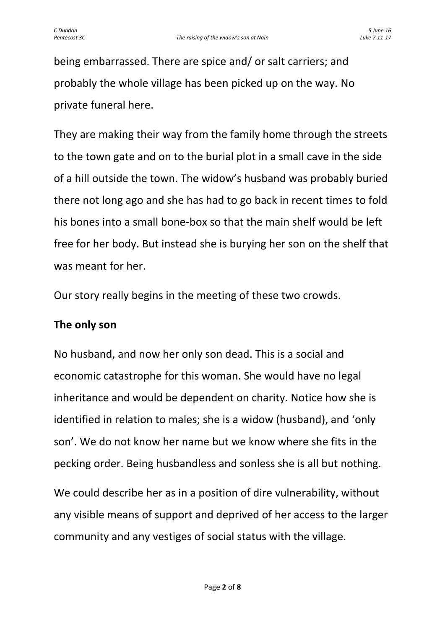being embarrassed. There are spice and/ or salt carriers; and probably the whole village has been picked up on the way. No private funeral here.

They are making their way from the family home through the streets to the town gate and on to the burial plot in a small cave in the side of a hill outside the town. The widow's husband was probably buried there not long ago and she has had to go back in recent times to fold his bones into a small bone-box so that the main shelf would be left free for her body. But instead she is burying her son on the shelf that was meant for her.

Our story really begins in the meeting of these two crowds.

# **The only son**

No husband, and now her only son dead. This is a social and economic catastrophe for this woman. She would have no legal inheritance and would be dependent on charity. Notice how she is identified in relation to males; she is a widow (husband), and 'only son'. We do not know her name but we know where she fits in the pecking order. Being husbandless and sonless she is all but nothing.

We could describe her as in a position of dire vulnerability, without any visible means of support and deprived of her access to the larger community and any vestiges of social status with the village.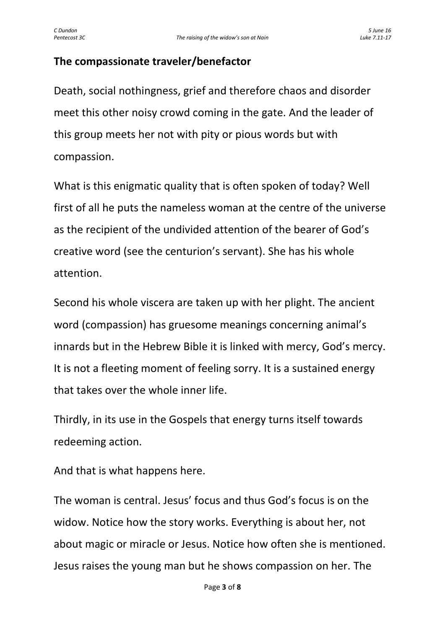# **The compassionate traveler/benefactor**

Death, social nothingness, grief and therefore chaos and disorder meet this other noisy crowd coming in the gate. And the leader of this group meets her not with pity or pious words but with compassion.

What is this enigmatic quality that is often spoken of today? Well first of all he puts the nameless woman at the centre of the universe as the recipient of the undivided attention of the bearer of God's creative word (see the centurion's servant). She has his whole attention.

Second his whole viscera are taken up with her plight. The ancient word (compassion) has gruesome meanings concerning animal's innards but in the Hebrew Bible it is linked with mercy, God's mercy. It is not a fleeting moment of feeling sorry. It is a sustained energy that takes over the whole inner life.

Thirdly, in its use in the Gospels that energy turns itself towards redeeming action.

And that is what happens here.

The woman is central. Jesus' focus and thus God's focus is on the widow. Notice how the story works. Everything is about her, not about magic or miracle or Jesus. Notice how often she is mentioned. Jesus raises the young man but he shows compassion on her. The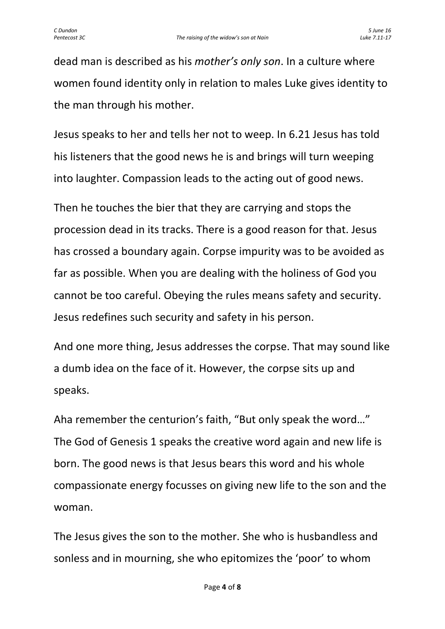dead man is described as his *mother's only son*. In a culture where women found identity only in relation to males Luke gives identity to the man through his mother.

Jesus speaks to her and tells her not to weep. In 6.21 Jesus has told his listeners that the good news he is and brings will turn weeping into laughter. Compassion leads to the acting out of good news.

Then he touches the bier that they are carrying and stops the procession dead in its tracks. There is a good reason for that. Jesus has crossed a boundary again. Corpse impurity was to be avoided as far as possible. When you are dealing with the holiness of God you cannot be too careful. Obeying the rules means safety and security. Jesus redefines such security and safety in his person.

And one more thing, Jesus addresses the corpse. That may sound like a dumb idea on the face of it. However, the corpse sits up and speaks.

Aha remember the centurion's faith, "But only speak the word…" The God of Genesis 1 speaks the creative word again and new life is born. The good news is that Jesus bears this word and his whole compassionate energy focusses on giving new life to the son and the woman.

The Jesus gives the son to the mother. She who is husbandless and sonless and in mourning, she who epitomizes the 'poor' to whom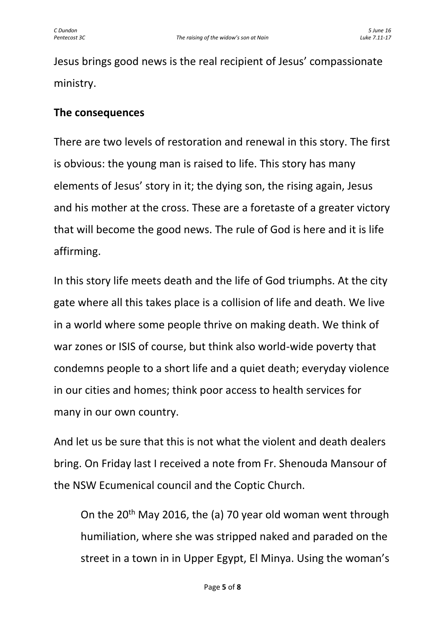Jesus brings good news is the real recipient of Jesus' compassionate ministry.

# **The consequences**

There are two levels of restoration and renewal in this story. The first is obvious: the young man is raised to life. This story has many elements of Jesus' story in it; the dying son, the rising again, Jesus and his mother at the cross. These are a foretaste of a greater victory that will become the good news. The rule of God is here and it is life affirming.

In this story life meets death and the life of God triumphs. At the city gate where all this takes place is a collision of life and death. We live in a world where some people thrive on making death. We think of war zones or ISIS of course, but think also world-wide poverty that condemns people to a short life and a quiet death; everyday violence in our cities and homes; think poor access to health services for many in our own country.

And let us be sure that this is not what the violent and death dealers bring. On Friday last I received a note from Fr. Shenouda Mansour of the NSW Ecumenical council and the Coptic Church.

On the 20th May 2016, the (a) 70 year old woman went through humiliation, where she was stripped naked and paraded on the street in a town in in Upper Egypt, El Minya. Using the woman's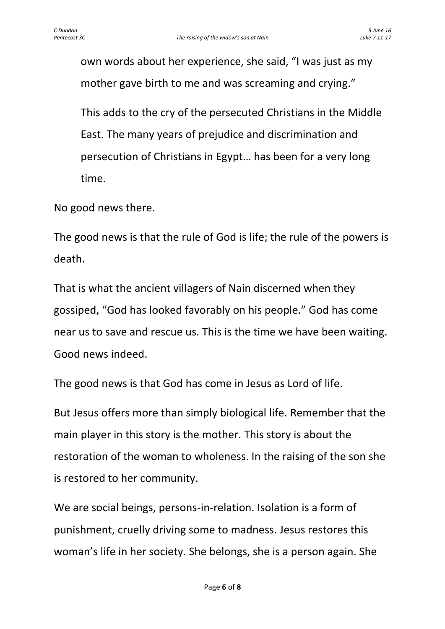own words about her experience, she said, "I was just as my mother gave birth to me and was screaming and crying."

This adds to the cry of the persecuted Christians in the Middle East. The many years of prejudice and discrimination and persecution of Christians in Egypt… has been for a very long time.

No good news there.

The good news is that the rule of God is life; the rule of the powers is death.

That is what the ancient villagers of Nain discerned when they gossiped, "God has looked favorably on his people." God has come near us to save and rescue us. This is the time we have been waiting. Good news indeed.

The good news is that God has come in Jesus as Lord of life.

But Jesus offers more than simply biological life. Remember that the main player in this story is the mother. This story is about the restoration of the woman to wholeness. In the raising of the son she is restored to her community.

We are social beings, persons-in-relation. Isolation is a form of punishment, cruelly driving some to madness. Jesus restores this woman's life in her society. She belongs, she is a person again. She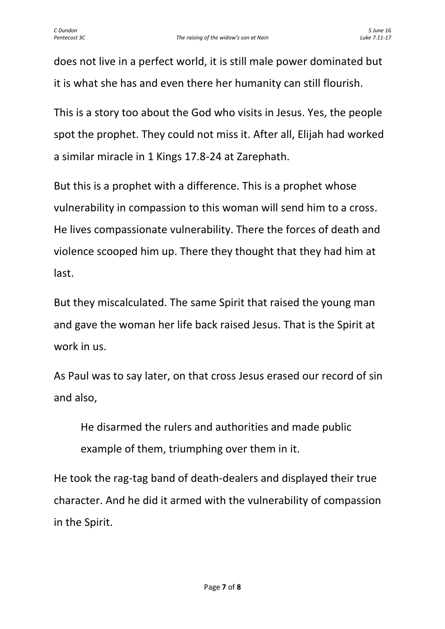does not live in a perfect world, it is still male power dominated but it is what she has and even there her humanity can still flourish.

This is a story too about the God who visits in Jesus. Yes, the people spot the prophet. They could not miss it. After all, Elijah had worked a similar miracle in 1 Kings 17.8-24 at Zarephath.

But this is a prophet with a difference. This is a prophet whose vulnerability in compassion to this woman will send him to a cross. He lives compassionate vulnerability. There the forces of death and violence scooped him up. There they thought that they had him at last.

But they miscalculated. The same Spirit that raised the young man and gave the woman her life back raised Jesus. That is the Spirit at work in us.

As Paul was to say later, on that cross Jesus erased our record of sin and also,

He disarmed the rulers and authorities and made public example of them, triumphing over them in it.

He took the rag-tag band of death-dealers and displayed their true character. And he did it armed with the vulnerability of compassion in the Spirit.